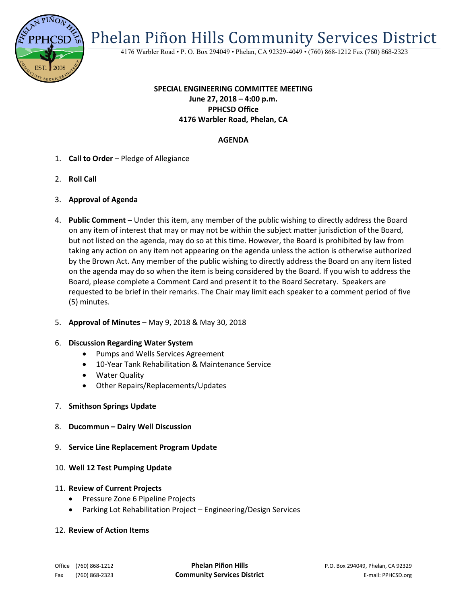

Phelan Piñon Hills Community Services District

4176 Warbler Road • P. O. Box 294049 • Phelan, CA 92329-4049 • (760) 868-1212 Fax (760) 868-2323

# **SPECIAL ENGINEERING COMMITTEE MEETING June 27, 2018 – 4:00 p.m. PPHCSD Office 4176 Warbler Road, Phelan, CA**

# **AGENDA**

- 1. **Call to Order** Pledge of Allegiance
- 2. **Roll Call**
- 3. **Approval of Agenda**
- 4. **Public Comment**  Under this item, any member of the public wishing to directly address the Board on any item of interest that may or may not be within the subject matter jurisdiction of the Board, but not listed on the agenda, may do so at this time. However, the Board is prohibited by law from taking any action on any item not appearing on the agenda unless the action is otherwise authorized by the Brown Act. Any member of the public wishing to directly address the Board on any item listed on the agenda may do so when the item is being considered by the Board. If you wish to address the Board, please complete a Comment Card and present it to the Board Secretary. Speakers are requested to be brief in their remarks. The Chair may limit each speaker to a comment period of five (5) minutes.
- 5. **Approval of Minutes**  May 9, 2018 & May 30, 2018

#### 6. **Discussion Regarding Water System**

- Pumps and Wells Services Agreement
- 10-Year Tank Rehabilitation & Maintenance Service
- Water Quality
- Other Repairs/Replacements/Updates
- 7. **Smithson Springs Update**
- 8. **Ducommun – Dairy Well Discussion**
- 9. **Service Line Replacement Program Update**
- 10. **Well 12 Test Pumping Update**
- 11. **Review of Current Projects**
	- Pressure Zone 6 Pipeline Projects
	- Parking Lot Rehabilitation Project Engineering/Design Services

### 12. **Review of Action Items**